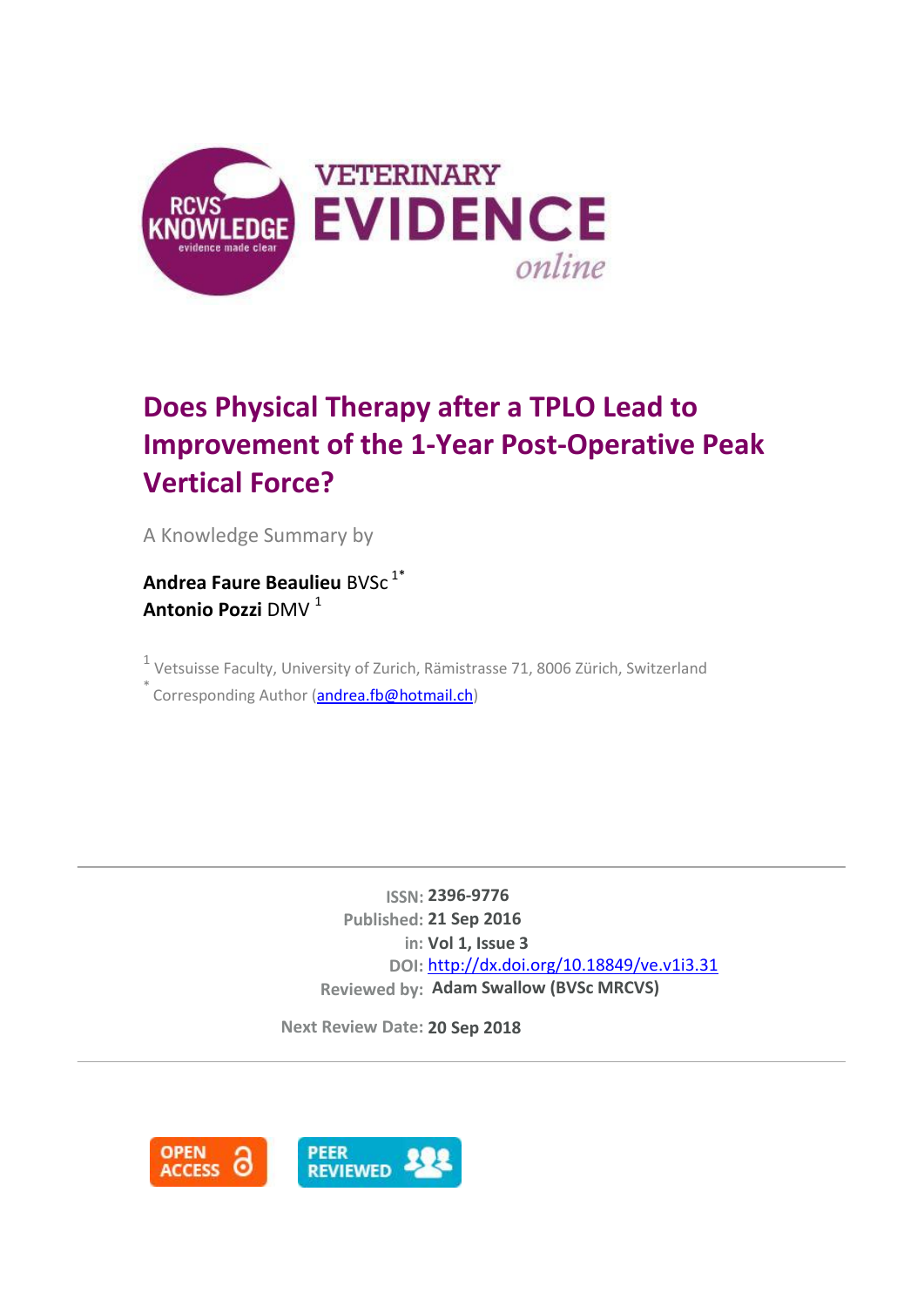

# **Does Physical Therapy after a TPLO Lead to Improvement of the 1-Year Post-Operative Peak Vertical Force?**

A Knowledge Summary by

**Andrea Faure Beaulieu** BVSc<sup>1\*</sup> **Antonio Pozzi** DMV <sup>1</sup>

 $<sup>1</sup>$  Vetsuisse Faculty, University of Zurich, Rämistrasse 71, 8006 Zürich, Switzerland</sup> .<br>Corresponding Author [\(andrea.fb@hotmail.ch\)](mailto:andrea.fb@hotmail.ch)

> **ISSN: 2396-9776 Published: 21 Sep 2016 in: Vol 1, Issue 3 DOI:** <http://dx.doi.org/10.18849/ve.v1i3.31> **Reviewed by: Adam Swallow (BVSc MRCVS)**

**Next Review Date: 20 Sep 2018**

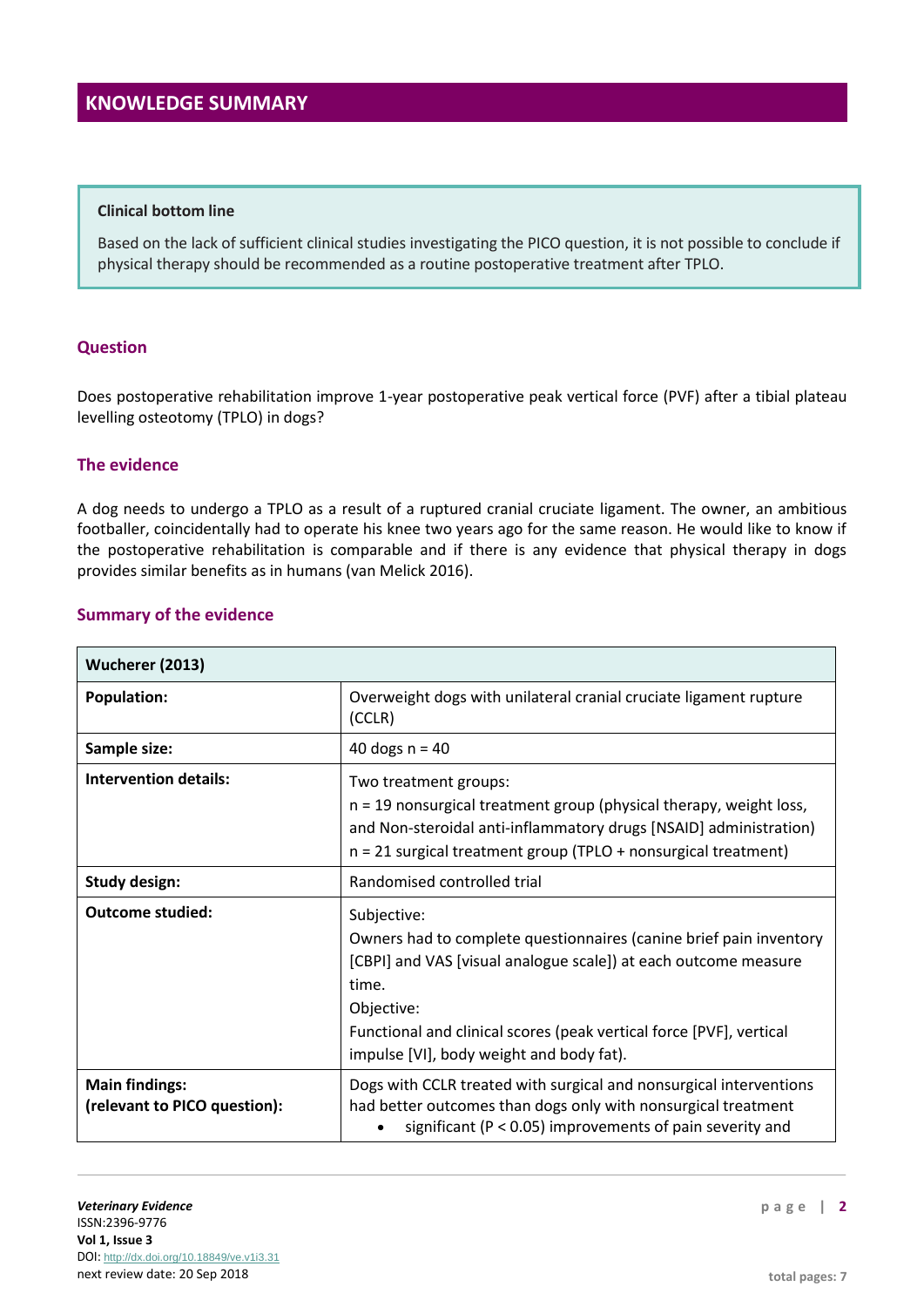#### **Clinical bottom line**

Based on the lack of sufficient clinical studies investigating the PICO question, it is not possible to conclude if physical therapy should be recommended as a routine postoperative treatment after TPLO.

#### **Question**

Does postoperative rehabilitation improve 1-year postoperative peak vertical force (PVF) after a tibial plateau levelling osteotomy (TPLO) in dogs?

#### **The evidence**

A dog needs to undergo a TPLO as a result of a ruptured cranial cruciate ligament. The owner, an ambitious footballer, coincidentally had to operate his knee two years ago for the same reason. He would like to know if the postoperative rehabilitation is comparable and if there is any evidence that physical therapy in dogs provides similar benefits as in humans (van Melick 2016).

## **Summary of the evidence**

| Wucherer (2013)                                       |                                                                                                                                                                                                                                                                                                |  |  |
|-------------------------------------------------------|------------------------------------------------------------------------------------------------------------------------------------------------------------------------------------------------------------------------------------------------------------------------------------------------|--|--|
| <b>Population:</b>                                    | Overweight dogs with unilateral cranial cruciate ligament rupture<br>(CCLR)                                                                                                                                                                                                                    |  |  |
| Sample size:                                          | 40 dogs $n = 40$                                                                                                                                                                                                                                                                               |  |  |
| <b>Intervention details:</b>                          | Two treatment groups:<br>$n = 19$ nonsurgical treatment group (physical therapy, weight loss,<br>and Non-steroidal anti-inflammatory drugs [NSAID] administration)<br>$n = 21$ surgical treatment group (TPLO + nonsurgical treatment)                                                         |  |  |
| <b>Study design:</b>                                  | Randomised controlled trial                                                                                                                                                                                                                                                                    |  |  |
| <b>Outcome studied:</b>                               | Subjective:<br>Owners had to complete questionnaires (canine brief pain inventory<br>[CBPI] and VAS [visual analogue scale]) at each outcome measure<br>time.<br>Objective:<br>Functional and clinical scores (peak vertical force [PVF], vertical<br>impulse [VI], body weight and body fat). |  |  |
| <b>Main findings:</b><br>(relevant to PICO question): | Dogs with CCLR treated with surgical and nonsurgical interventions<br>had better outcomes than dogs only with nonsurgical treatment<br>significant ( $P < 0.05$ ) improvements of pain severity and                                                                                            |  |  |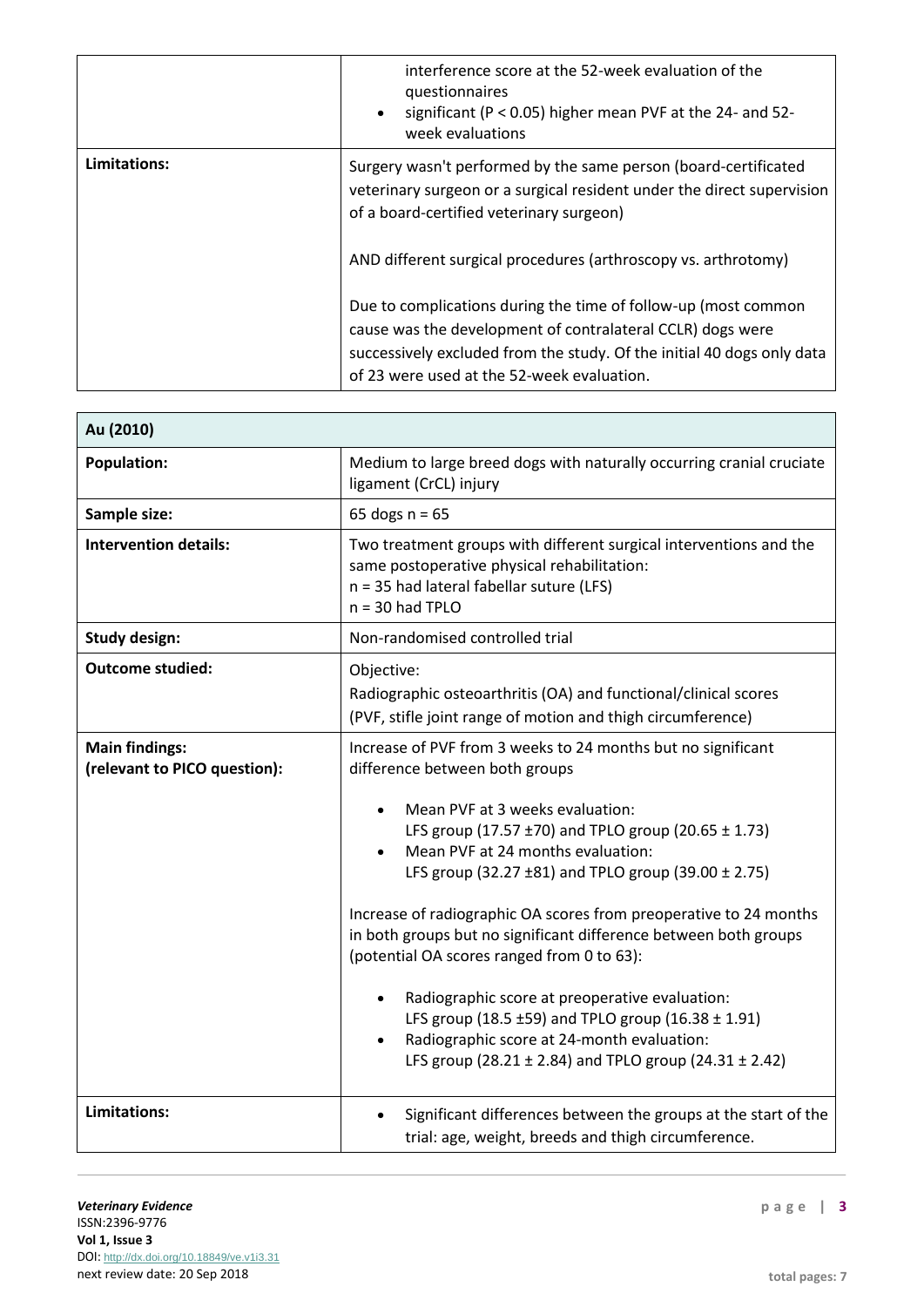|              | interference score at the 52-week evaluation of the<br>questionnaires<br>significant ( $P < 0.05$ ) higher mean PVF at the 24- and 52-<br>week evaluations                                                                                           |  |
|--------------|------------------------------------------------------------------------------------------------------------------------------------------------------------------------------------------------------------------------------------------------------|--|
| Limitations: | Surgery wasn't performed by the same person (board-certificated<br>veterinary surgeon or a surgical resident under the direct supervision<br>of a board-certified veterinary surgeon)                                                                |  |
|              | AND different surgical procedures (arthroscopy vs. arthrotomy)                                                                                                                                                                                       |  |
|              | Due to complications during the time of follow-up (most common<br>cause was the development of contralateral CCLR) dogs were<br>successively excluded from the study. Of the initial 40 dogs only data<br>of 23 were used at the 52-week evaluation. |  |

| Au (2010)                                             |                                                                                                                                                                                                                          |  |  |  |
|-------------------------------------------------------|--------------------------------------------------------------------------------------------------------------------------------------------------------------------------------------------------------------------------|--|--|--|
| <b>Population:</b>                                    | Medium to large breed dogs with naturally occurring cranial cruciate<br>ligament (CrCL) injury                                                                                                                           |  |  |  |
| Sample size:                                          | 65 dogs $n = 65$                                                                                                                                                                                                         |  |  |  |
| <b>Intervention details:</b>                          | Two treatment groups with different surgical interventions and the<br>same postoperative physical rehabilitation:<br>n = 35 had lateral fabellar suture (LFS)<br>$n = 30$ had TPLO                                       |  |  |  |
| <b>Study design:</b>                                  | Non-randomised controlled trial                                                                                                                                                                                          |  |  |  |
| <b>Outcome studied:</b>                               | Objective:<br>Radiographic osteoarthritis (OA) and functional/clinical scores<br>(PVF, stifle joint range of motion and thigh circumference)                                                                             |  |  |  |
| <b>Main findings:</b><br>(relevant to PICO question): | Increase of PVF from 3 weeks to 24 months but no significant<br>difference between both groups                                                                                                                           |  |  |  |
|                                                       | Mean PVF at 3 weeks evaluation:<br>LFS group (17.57 ±70) and TPLO group (20.65 ± 1.73)<br>Mean PVF at 24 months evaluation:<br>LFS group (32.27 $\pm$ 81) and TPLO group (39.00 $\pm$ 2.75)                              |  |  |  |
|                                                       | Increase of radiographic OA scores from preoperative to 24 months<br>in both groups but no significant difference between both groups<br>(potential OA scores ranged from 0 to 63):                                      |  |  |  |
|                                                       | Radiographic score at preoperative evaluation:<br>LFS group (18.5 ±59) and TPLO group (16.38 $\pm$ 1.91)<br>Radiographic score at 24-month evaluation:<br>LFS group (28.21 $\pm$ 2.84) and TPLO group (24.31 $\pm$ 2.42) |  |  |  |
| <b>Limitations:</b>                                   | Significant differences between the groups at the start of the<br>trial: age, weight, breeds and thigh circumference.                                                                                                    |  |  |  |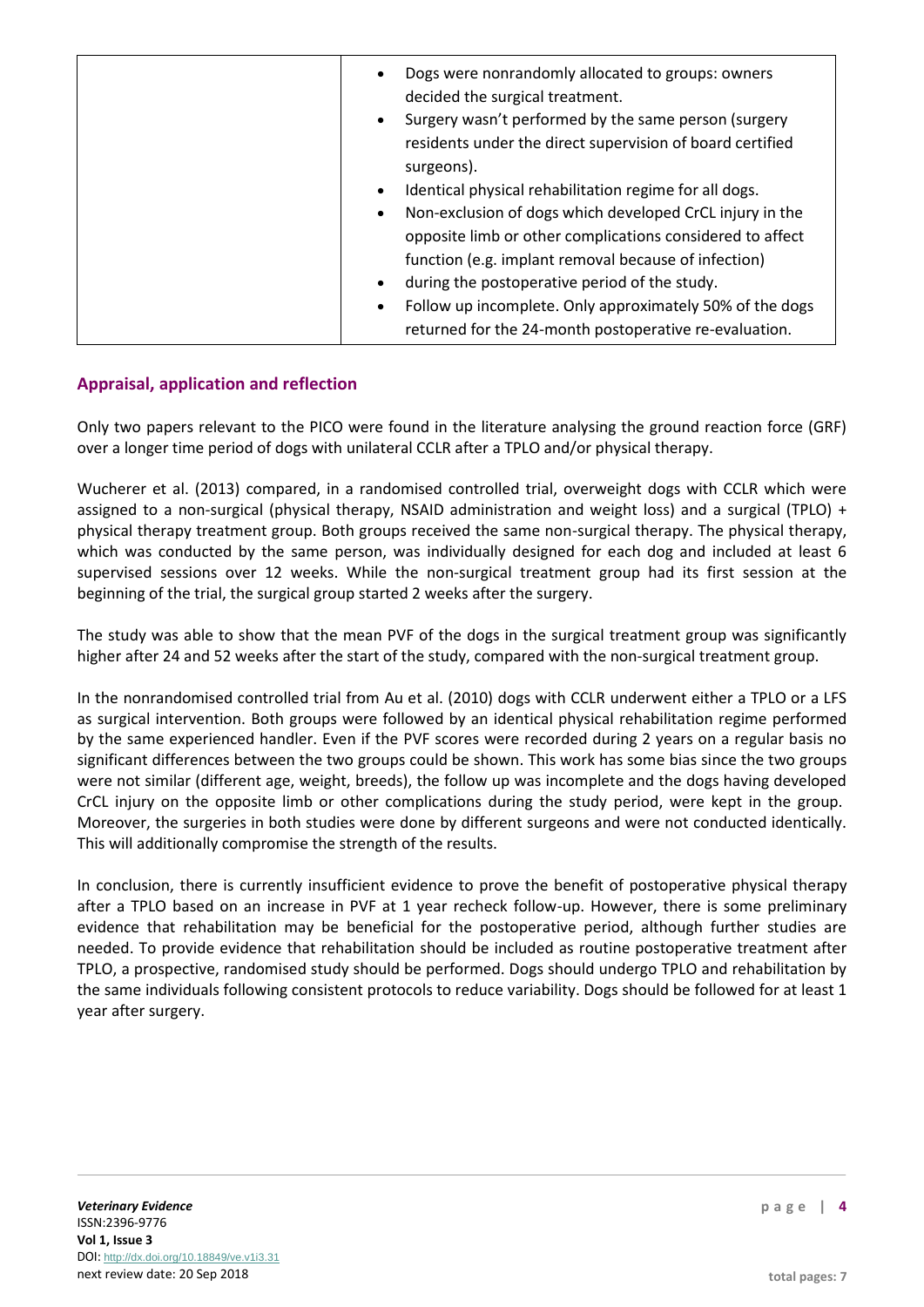| returned for the 24-month postoperative re-evaluation. |
|--------------------------------------------------------|
|--------------------------------------------------------|

## **Appraisal, application and reflection**

Only two papers relevant to the PICO were found in the literature analysing the ground reaction force (GRF) over a longer time period of dogs with unilateral CCLR after a TPLO and/or physical therapy.

Wucherer et al. (2013) compared, in a randomised controlled trial, overweight dogs with CCLR which were assigned to a non-surgical (physical therapy, NSAID administration and weight loss) and a surgical (TPLO) + physical therapy treatment group. Both groups received the same non-surgical therapy. The physical therapy, which was conducted by the same person, was individually designed for each dog and included at least 6 supervised sessions over 12 weeks. While the non-surgical treatment group had its first session at the beginning of the trial, the surgical group started 2 weeks after the surgery.

The study was able to show that the mean PVF of the dogs in the surgical treatment group was significantly higher after 24 and 52 weeks after the start of the study, compared with the non-surgical treatment group.

In the nonrandomised controlled trial from Au et al. (2010) dogs with CCLR underwent either a TPLO or a LFS as surgical intervention. Both groups were followed by an identical physical rehabilitation regime performed by the same experienced handler. Even if the PVF scores were recorded during 2 years on a regular basis no significant differences between the two groups could be shown. This work has some bias since the two groups were not similar (different age, weight, breeds), the follow up was incomplete and the dogs having developed CrCL injury on the opposite limb or other complications during the study period, were kept in the group. Moreover, the surgeries in both studies were done by different surgeons and were not conducted identically. This will additionally compromise the strength of the results.

In conclusion, there is currently insufficient evidence to prove the benefit of postoperative physical therapy after a TPLO based on an increase in PVF at 1 year recheck follow-up. However, there is some preliminary evidence that rehabilitation may be beneficial for the postoperative period, although further studies are needed. To provide evidence that rehabilitation should be included as routine postoperative treatment after TPLO, a prospective, randomised study should be performed. Dogs should undergo TPLO and rehabilitation by the same individuals following consistent protocols to reduce variability. Dogs should be followed for at least 1 year after surgery.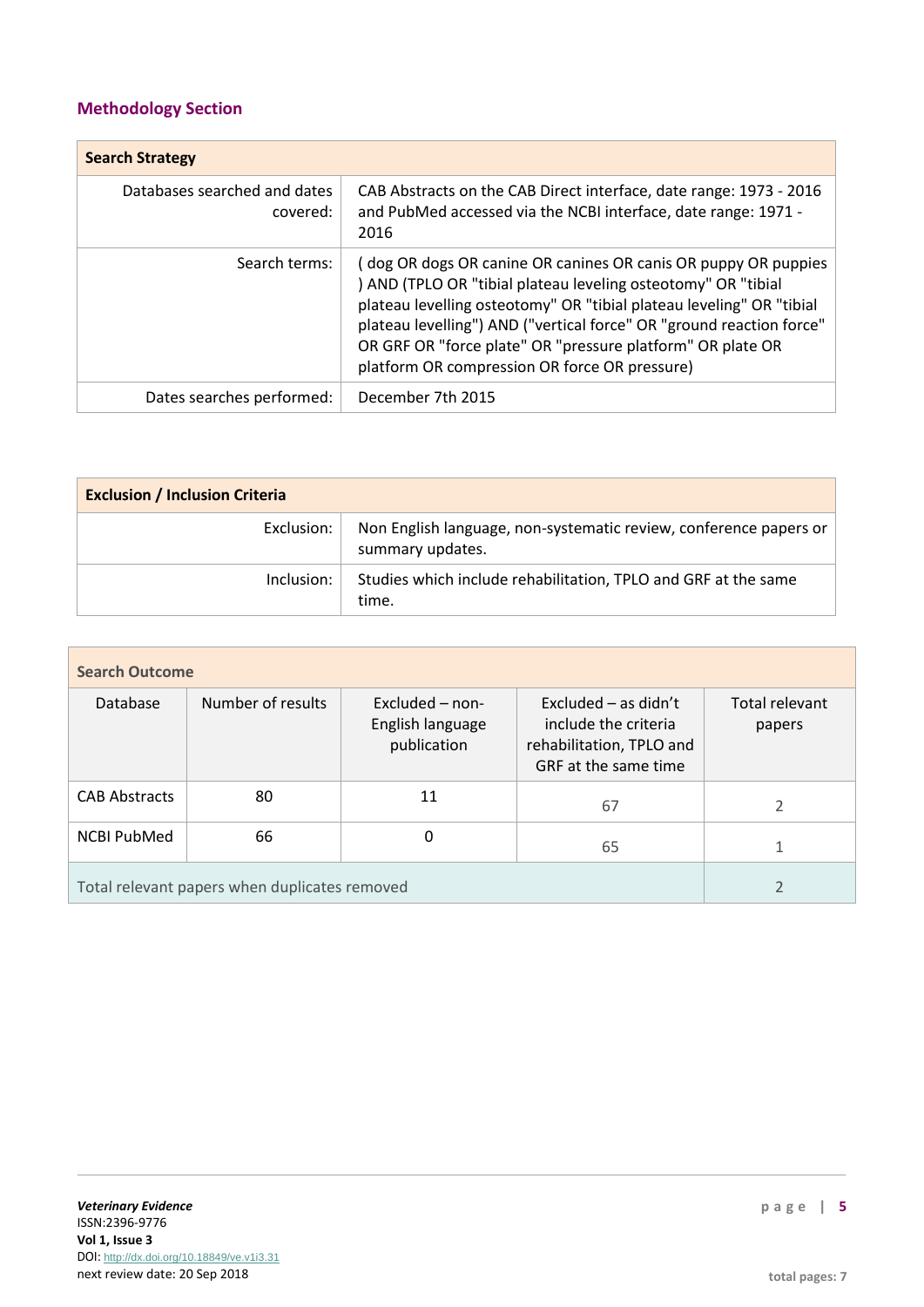# **Methodology Section**

| <b>Search Strategy</b>                   |                                                                                                                                                                                                                                                                                                                                                                                                |  |  |
|------------------------------------------|------------------------------------------------------------------------------------------------------------------------------------------------------------------------------------------------------------------------------------------------------------------------------------------------------------------------------------------------------------------------------------------------|--|--|
| Databases searched and dates<br>covered: | CAB Abstracts on the CAB Direct interface, date range: 1973 - 2016<br>and PubMed accessed via the NCBI interface, date range: 1971 -<br>2016                                                                                                                                                                                                                                                   |  |  |
| Search terms:                            | (dog OR dogs OR canine OR canines OR canis OR puppy OR puppies<br>) AND (TPLO OR "tibial plateau leveling osteotomy" OR "tibial<br>plateau levelling osteotomy" OR "tibial plateau leveling" OR "tibial<br>plateau levelling") AND ("vertical force" OR "ground reaction force"<br>OR GRF OR "force plate" OR "pressure platform" OR plate OR<br>platform OR compression OR force OR pressure) |  |  |
| Dates searches performed:                | December 7th 2015                                                                                                                                                                                                                                                                                                                                                                              |  |  |

| <b>Exclusion / Inclusion Criteria</b> |                                                                                       |  |  |
|---------------------------------------|---------------------------------------------------------------------------------------|--|--|
| Exclusion:                            | Non English language, non-systematic review, conference papers or<br>summary updates. |  |  |
| lnclusion:                            | Studies which include rehabilitation, TPLO and GRF at the same<br>time.               |  |  |

| <b>Search Outcome</b>                         |                   |                                                    |                                                                                                    |                          |  |  |
|-----------------------------------------------|-------------------|----------------------------------------------------|----------------------------------------------------------------------------------------------------|--------------------------|--|--|
| Database                                      | Number of results | Excluded - non-<br>English language<br>publication | Excluded $-$ as didn't<br>include the criteria<br>rehabilitation, TPLO and<br>GRF at the same time | Total relevant<br>papers |  |  |
| <b>CAB Abstracts</b>                          | 80                | 11                                                 | 67                                                                                                 | 2                        |  |  |
| <b>NCBI PubMed</b>                            | 66                | 0                                                  | 65                                                                                                 |                          |  |  |
| Total relevant papers when duplicates removed |                   |                                                    |                                                                                                    |                          |  |  |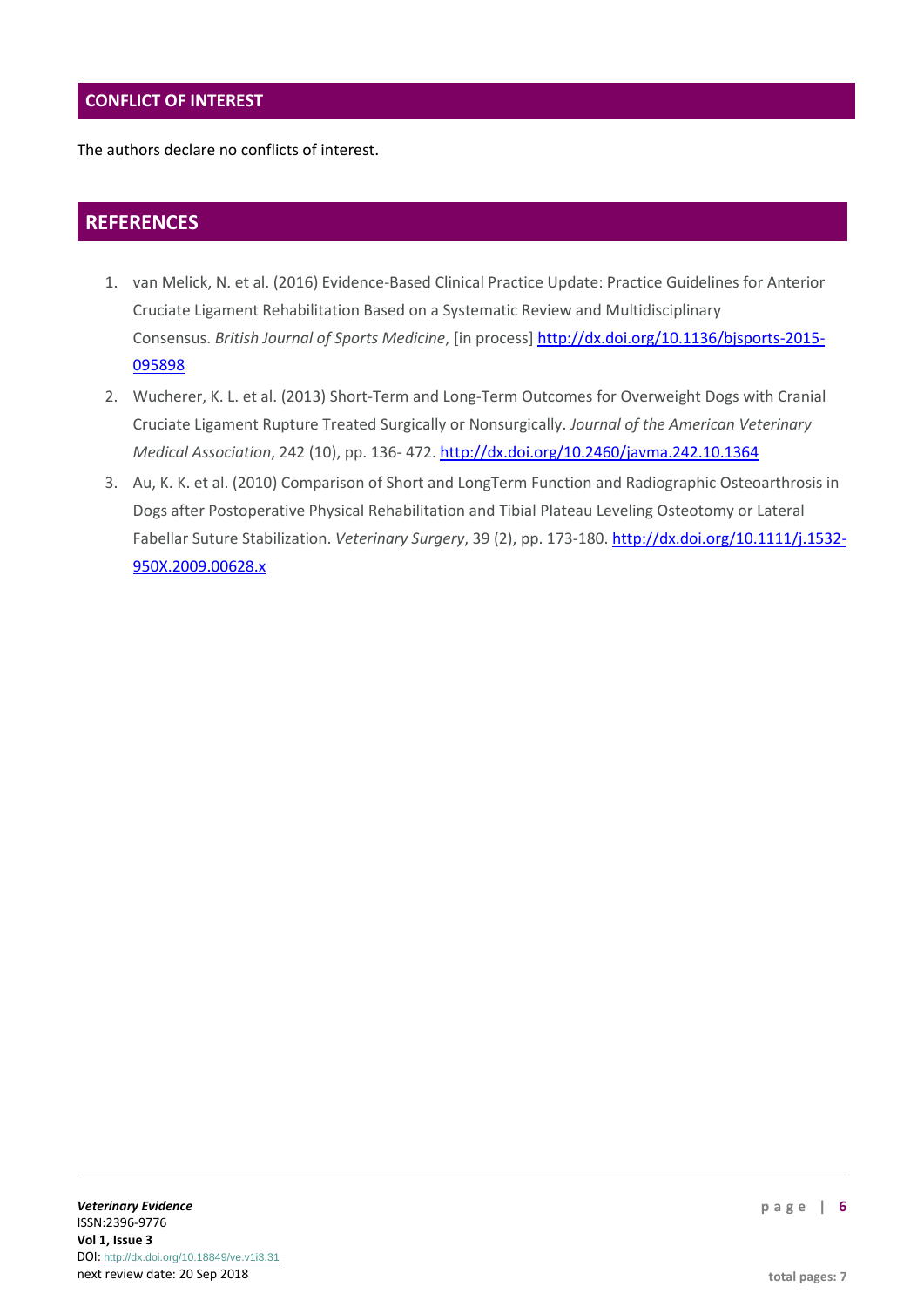# **CONFLICT OF INTEREST**

The authors declare no conflicts of interest.

# **REFERENCES**

- 1. van Melick, N. et al. (2016) Evidence-Based Clinical Practice Update: Practice Guidelines for Anterior Cruciate Ligament Rehabilitation Based on a Systematic Review and Multidisciplinary Consensus. *British Journal of Sports Medicine*, [in process] [http://dx.doi.org/10.1136/bjsports-2015-](http://dx.doi.org/10.1136/bjsports-2015-095898) [095898](http://dx.doi.org/10.1136/bjsports-2015-095898)
- 2. Wucherer, K. L. et al. (2013) Short-Term and Long-Term Outcomes for Overweight Dogs with Cranial Cruciate Ligament Rupture Treated Surgically or Nonsurgically. *Journal of the American Veterinary Medical Association*, 242 (10), pp. 136- 472. <http://dx.doi.org/10.2460/javma.242.10.1364>
- 3. Au, K. K. et al. (2010) Comparison of Short and LongTerm Function and Radiographic Osteoarthrosis in Dogs after Postoperative Physical Rehabilitation and Tibial Plateau Leveling Osteotomy or Lateral Fabellar Suture Stabilization. *Veterinary Surgery*, 39 (2), pp. 173-180. [http://dx.doi.org/10.1111/j.1532-](http://dx.doi.org/10.1111/j.1532-950X.2009.00628.x) [950X.2009.00628.x](http://dx.doi.org/10.1111/j.1532-950X.2009.00628.x)